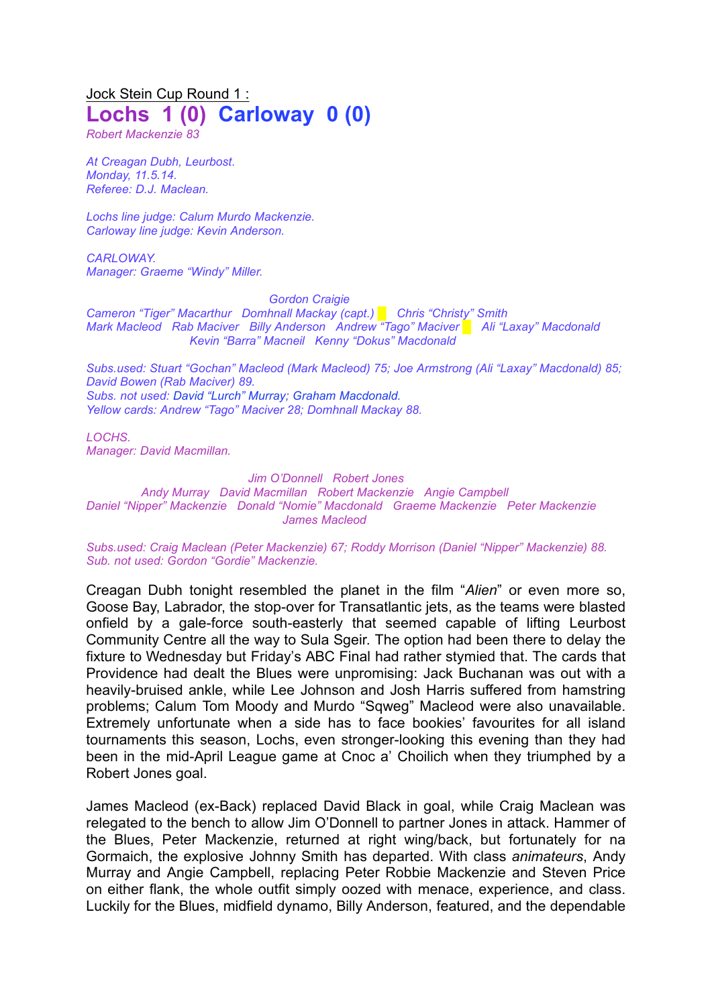## Jock Stein Cup Round 1 : **Lochs 1 (0) Carloway 0 (0)**

*Robert Mackenzie 83*

*At Creagan Dubh, Leurbost. Monday, 11.5.14. Referee: D.J. Maclean.*

*Lochs line judge: Calum Murdo Mackenzie. Carloway line judge: Kevin Anderson.*

*CARLOWAY. Manager: Graeme "Windy" Miller.*

*Gordon Craigie*

*Cameron "Tiger" Macarthur Domhnall Mackay (capt.) █ Chris "Christy" Smith Mark Macleod Rab Maciver Billy Anderson Andrew "Tago" Maciver █ Ali "Laxay" Macdonald Kevin "Barra" Macneil Kenny "Dokus" Macdonald*

*Subs.used: Stuart "Gochan" Macleod (Mark Macleod) 75; Joe Armstrong (Ali "Laxay" Macdonald) 85; David Bowen (Rab Maciver) 89. Subs. not used: David "Lurch" Murray; Graham Macdonald. Yellow cards: Andrew "Tago" Maciver 28; Domhnall Mackay 88.*

*LOCHS. Manager: David Macmillan.*

*Jim O'Donnell Robert Jones*

*Andy Murray David Macmillan Robert Mackenzie Angie Campbell Daniel "Nipper" Mackenzie Donald "Nomie" Macdonald Graeme Mackenzie Peter Mackenzie James Macleod*

*Subs.used: Craig Maclean (Peter Mackenzie) 67; Roddy Morrison (Daniel "Nipper" Mackenzie) 88. Sub. not used: Gordon "Gordie" Mackenzie.*

Creagan Dubh tonight resembled the planet in the film "*Alien*" or even more so, Goose Bay, Labrador, the stop-over for Transatlantic jets, as the teams were blasted onfield by a gale-force south-easterly that seemed capable of lifting Leurbost Community Centre all the way to Sula Sgeir. The option had been there to delay the fixture to Wednesday but Friday's ABC Final had rather stymied that. The cards that Providence had dealt the Blues were unpromising: Jack Buchanan was out with a heavily-bruised ankle, while Lee Johnson and Josh Harris suffered from hamstring problems; Calum Tom Moody and Murdo "Sqweg" Macleod were also unavailable. Extremely unfortunate when a side has to face bookies' favourites for all island tournaments this season, Lochs, even stronger-looking this evening than they had been in the mid-April League game at Cnoc a' Choilich when they triumphed by a Robert Jones goal.

James Macleod (ex-Back) replaced David Black in goal, while Craig Maclean was relegated to the bench to allow Jim O'Donnell to partner Jones in attack. Hammer of the Blues, Peter Mackenzie, returned at right wing/back, but fortunately for na Gormaich, the explosive Johnny Smith has departed. With class *animateurs*, Andy Murray and Angie Campbell, replacing Peter Robbie Mackenzie and Steven Price on either flank, the whole outfit simply oozed with menace, experience, and class. Luckily for the Blues, midfield dynamo, Billy Anderson, featured, and the dependable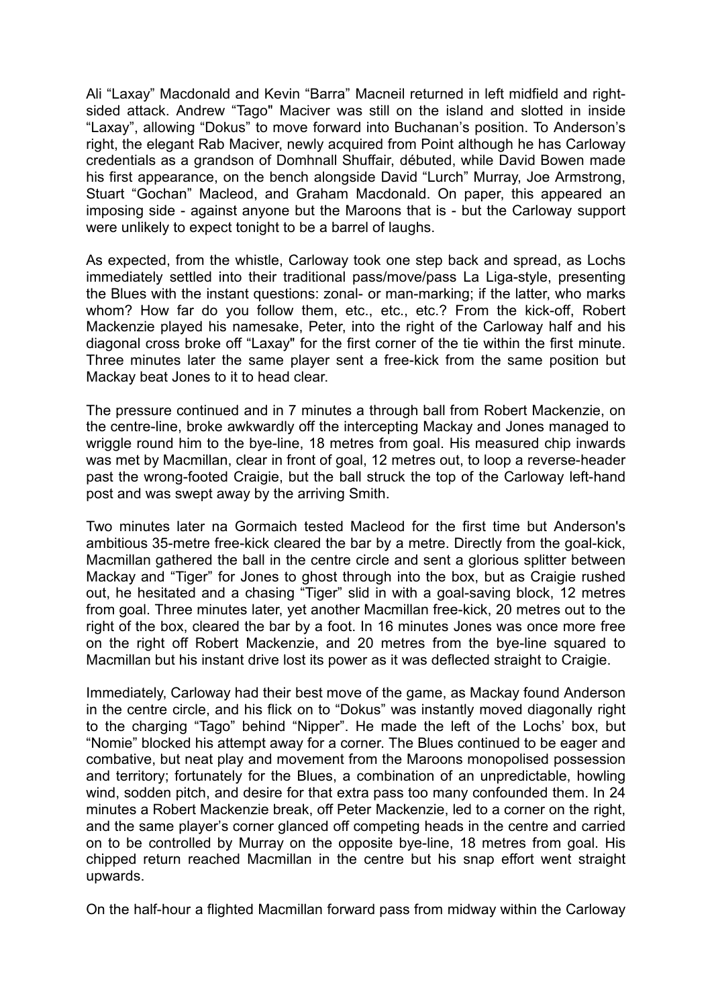Ali "Laxay" Macdonald and Kevin "Barra" Macneil returned in left midfield and rightsided attack. Andrew "Tago" Maciver was still on the island and slotted in inside "Laxay", allowing "Dokus" to move forward into Buchanan's position. To Anderson's right, the elegant Rab Maciver, newly acquired from Point although he has Carloway credentials as a grandson of Domhnall Shuffair, débuted, while David Bowen made his first appearance, on the bench alongside David "Lurch" Murray, Joe Armstrong, Stuart "Gochan" Macleod, and Graham Macdonald. On paper, this appeared an imposing side - against anyone but the Maroons that is - but the Carloway support were unlikely to expect tonight to be a barrel of laughs.

As expected, from the whistle, Carloway took one step back and spread, as Lochs immediately settled into their traditional pass/move/pass La Liga-style, presenting the Blues with the instant questions: zonal- or man-marking; if the latter, who marks whom? How far do you follow them, etc., etc., etc.? From the kick-off, Robert Mackenzie played his namesake, Peter, into the right of the Carloway half and his diagonal cross broke off "Laxay" for the first corner of the tie within the first minute. Three minutes later the same player sent a free-kick from the same position but Mackay beat Jones to it to head clear.

The pressure continued and in 7 minutes a through ball from Robert Mackenzie, on the centre-line, broke awkwardly off the intercepting Mackay and Jones managed to wriggle round him to the bye-line, 18 metres from goal. His measured chip inwards was met by Macmillan, clear in front of goal, 12 metres out, to loop a reverse-header past the wrong-footed Craigie, but the ball struck the top of the Carloway left-hand post and was swept away by the arriving Smith.

Two minutes later na Gormaich tested Macleod for the first time but Anderson's ambitious 35-metre free-kick cleared the bar by a metre. Directly from the goal-kick, Macmillan gathered the ball in the centre circle and sent a glorious splitter between Mackay and "Tiger" for Jones to ghost through into the box, but as Craigie rushed out, he hesitated and a chasing "Tiger" slid in with a goal-saving block, 12 metres from goal. Three minutes later, yet another Macmillan free-kick, 20 metres out to the right of the box, cleared the bar by a foot. In 16 minutes Jones was once more free on the right off Robert Mackenzie, and 20 metres from the bye-line squared to Macmillan but his instant drive lost its power as it was deflected straight to Craigie.

Immediately, Carloway had their best move of the game, as Mackay found Anderson in the centre circle, and his flick on to "Dokus" was instantly moved diagonally right to the charging "Tago" behind "Nipper". He made the left of the Lochs' box, but "Nomie" blocked his attempt away for a corner. The Blues continued to be eager and combative, but neat play and movement from the Maroons monopolised possession and territory; fortunately for the Blues, a combination of an unpredictable, howling wind, sodden pitch, and desire for that extra pass too many confounded them. In 24 minutes a Robert Mackenzie break, off Peter Mackenzie, led to a corner on the right, and the same player's corner glanced off competing heads in the centre and carried on to be controlled by Murray on the opposite bye-line, 18 metres from goal. His chipped return reached Macmillan in the centre but his snap effort went straight upwards.

On the half-hour a flighted Macmillan forward pass from midway within the Carloway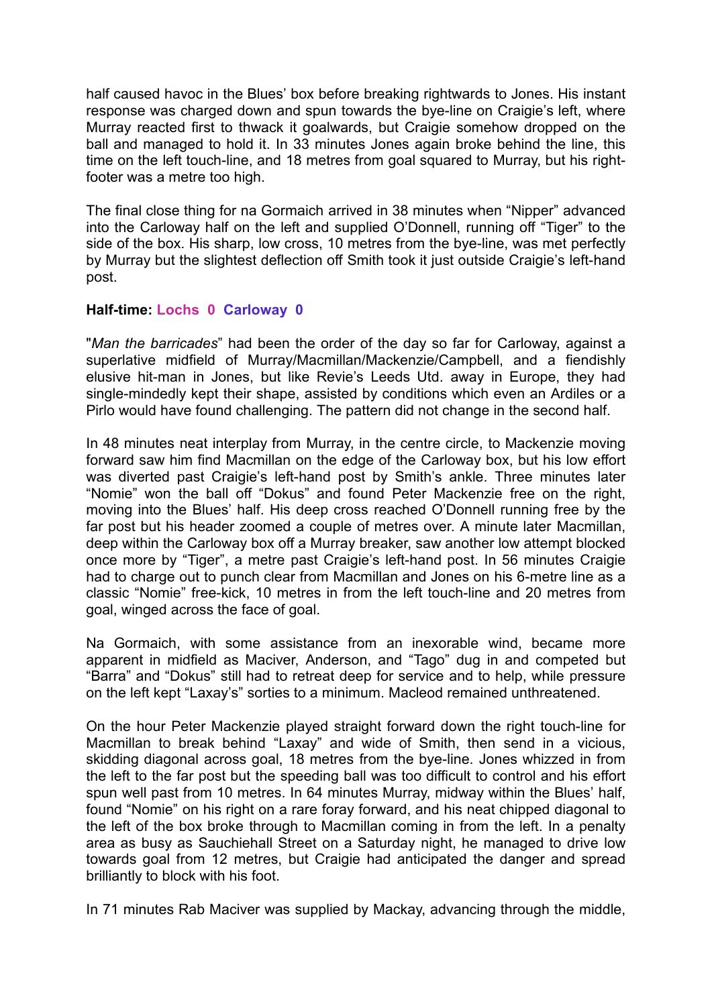half caused havoc in the Blues' box before breaking rightwards to Jones. His instant response was charged down and spun towards the bye-line on Craigie's left, where Murray reacted first to thwack it goalwards, but Craigie somehow dropped on the ball and managed to hold it. In 33 minutes Jones again broke behind the line, this time on the left touch-line, and 18 metres from goal squared to Murray, but his rightfooter was a metre too high.

The final close thing for na Gormaich arrived in 38 minutes when "Nipper" advanced into the Carloway half on the left and supplied O'Donnell, running off "Tiger" to the side of the box. His sharp, low cross, 10 metres from the bye-line, was met perfectly by Murray but the slightest deflection off Smith took it just outside Craigie's left-hand post.

## **Half-time: Lochs 0 Carloway 0**

"*Man the barricades*" had been the order of the day so far for Carloway, against a superlative midfield of Murray/Macmillan/Mackenzie/Campbell, and a fiendishly elusive hit-man in Jones, but like Revie's Leeds Utd. away in Europe, they had single-mindedly kept their shape, assisted by conditions which even an Ardiles or a Pirlo would have found challenging. The pattern did not change in the second half.

In 48 minutes neat interplay from Murray, in the centre circle, to Mackenzie moving forward saw him find Macmillan on the edge of the Carloway box, but his low effort was diverted past Craigie's left-hand post by Smith's ankle. Three minutes later "Nomie" won the ball off "Dokus" and found Peter Mackenzie free on the right, moving into the Blues' half. His deep cross reached O'Donnell running free by the far post but his header zoomed a couple of metres over. A minute later Macmillan, deep within the Carloway box off a Murray breaker, saw another low attempt blocked once more by "Tiger", a metre past Craigie's left-hand post. In 56 minutes Craigie had to charge out to punch clear from Macmillan and Jones on his 6-metre line as a classic "Nomie" free-kick, 10 metres in from the left touch-line and 20 metres from goal, winged across the face of goal.

Na Gormaich, with some assistance from an inexorable wind, became more apparent in midfield as Maciver, Anderson, and "Tago" dug in and competed but "Barra" and "Dokus" still had to retreat deep for service and to help, while pressure on the left kept "Laxay's" sorties to a minimum. Macleod remained unthreatened.

On the hour Peter Mackenzie played straight forward down the right touch-line for Macmillan to break behind "Laxay" and wide of Smith, then send in a vicious, skidding diagonal across goal, 18 metres from the bye-line. Jones whizzed in from the left to the far post but the speeding ball was too difficult to control and his effort spun well past from 10 metres. In 64 minutes Murray, midway within the Blues' half, found "Nomie" on his right on a rare foray forward, and his neat chipped diagonal to the left of the box broke through to Macmillan coming in from the left. In a penalty area as busy as Sauchiehall Street on a Saturday night, he managed to drive low towards goal from 12 metres, but Craigie had anticipated the danger and spread brilliantly to block with his foot.

In 71 minutes Rab Maciver was supplied by Mackay, advancing through the middle,